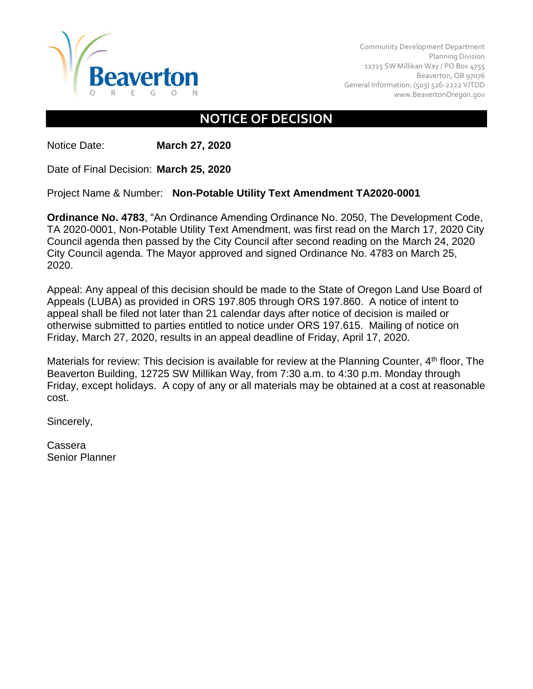

Community Development Department Planning Division 12725 SW Millikan Way / PO Box 4755 Beaverton, OR 97076 General Information: (503) 526-2222 V/TDD [www.BeavertonOregon.gov](http://www.beavertonoregon.gov/)

## **NOTICE OF DECISION**

Notice Date: **March 27, 2020**

Date of Final Decision: **March 25, 2020**

Project Name & Number: **Non-Potable Utility Text Amendment TA2020-0001**

**Ordinance No. 4783**, "An Ordinance Amending Ordinance No. 2050, The Development Code, TA 2020-0001, Non-Potable Utility Text Amendment, was first read on the March 17, 2020 City Council agenda then passed by the City Council after second reading on the March 24, 2020 City Council agenda. The Mayor approved and signed Ordinance No. 4783 on March 25, 2020.

Appeal: Any appeal of this decision should be made to the State of Oregon Land Use Board of Appeals (LUBA) as provided in ORS 197.805 through ORS 197.860. A notice of intent to appeal shall be filed not later than 21 calendar days after notice of decision is mailed or otherwise submitted to parties entitled to notice under ORS 197.615. Mailing of notice on Friday, March 27, 2020, results in an appeal deadline of Friday, April 17, 2020.

Materials for review: This decision is available for review at the Planning Counter, 4<sup>th</sup> floor, The Beaverton Building, 12725 SW Millikan Way, from 7:30 a.m. to 4:30 p.m. Monday through Friday, except holidays. A copy of any or all materials may be obtained at a cost at reasonable cost.

Sincerely,

Cassera Senior Planner